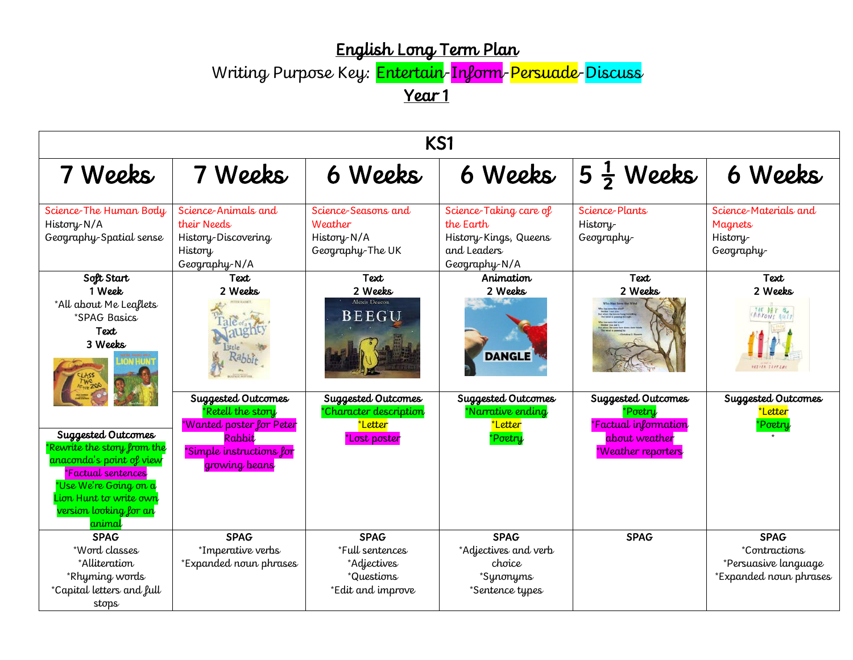## English Long Term Plan

Writing Purpose Key: <mark>Entertain-Inform-Persuade-Discuss</mark>

Year 1

| KS1                                                                                                                                                                                       |                                                                                       |                                                                                                  |                                                                                              |                                                             |                                                                                               |  |
|-------------------------------------------------------------------------------------------------------------------------------------------------------------------------------------------|---------------------------------------------------------------------------------------|--------------------------------------------------------------------------------------------------|----------------------------------------------------------------------------------------------|-------------------------------------------------------------|-----------------------------------------------------------------------------------------------|--|
| 7 Weeks                                                                                                                                                                                   | 7 Weeks                                                                               | 6 Weeks                                                                                          | 6 Weeks                                                                                      | $5\frac{1}{2}$ Weeks                                        | 6 Weeks                                                                                       |  |
| Science-The Human Body<br>History-N/A<br>Geography-Spatial sense                                                                                                                          | Science-Animals and<br>their Needs<br>History-Discovering<br>History<br>Geography-N/A | Science-Seasons and<br>Weather<br>History-N/A<br>Geography-The UK                                | Science-Taking care of<br>the Earth<br>History-Kings, Queens<br>and Leaders<br>Geography-N/A | Science-Plants<br>History-<br>Geography-                    | Science-Materials and<br>Magnets<br>History-<br>Geography-                                    |  |
| Soft Start<br>1 Week<br>*All about Me Leaflets<br>*SPAG Basics<br>Text<br>3 Weeks                                                                                                         | Text<br>2 Weeks<br>Suggested Outcomes<br>*Retell the story                            | Text<br>2 Weeks<br><b>Alexis Deacon</b><br>BEEGU<br>Suggested Outcomes<br>*Character description | Animation<br>2 Weeks<br><b>DANGLE</b><br>Suggested Outcomes<br>*Narrative ending             | Text<br>2 Weeks<br>Suggested Outcomes<br>*Poetry            | Text<br>2 Weeks<br>THE DAY ON<br><b>OLTOER TEFFER</b><br>Suggested Outcomes<br><u>*Letter</u> |  |
| Suggested Outcomes<br>Rewrite the story from the<br>anaconda's point of view<br>*Factual sentences<br>*Use We're Going on a<br>Lion Hunt to write own<br>version looking for an<br>animal | *Wanted poster for Peter<br>Rabbit<br>*Simple instructions for<br>growing beans       | *Letter<br>*Lost poster                                                                          | *Letter<br>*Poetry                                                                           | *Factual information<br>about weather<br>*Weather reporters | *Poetry<br>$\star$                                                                            |  |
| <b>SPAG</b><br>*Word classes<br>*Alliteration<br>*Rhyming words<br>*Capital letters and full<br>stops                                                                                     | <b>SPAG</b><br>*Imperative verbs<br>*Expanded noun phrases                            | <b>SPAG</b><br>*Full sentences<br>*Adjectives<br>*Questions<br>*Edit and improve                 | <b>SPAG</b><br>*Adjectives and verb<br>choice<br>*Synonyms<br>*Sentence types                | <b>SPAG</b>                                                 | <b>SPAG</b><br><i>*Contractions</i><br>*Persuasive language<br>*Expanded noun phrases         |  |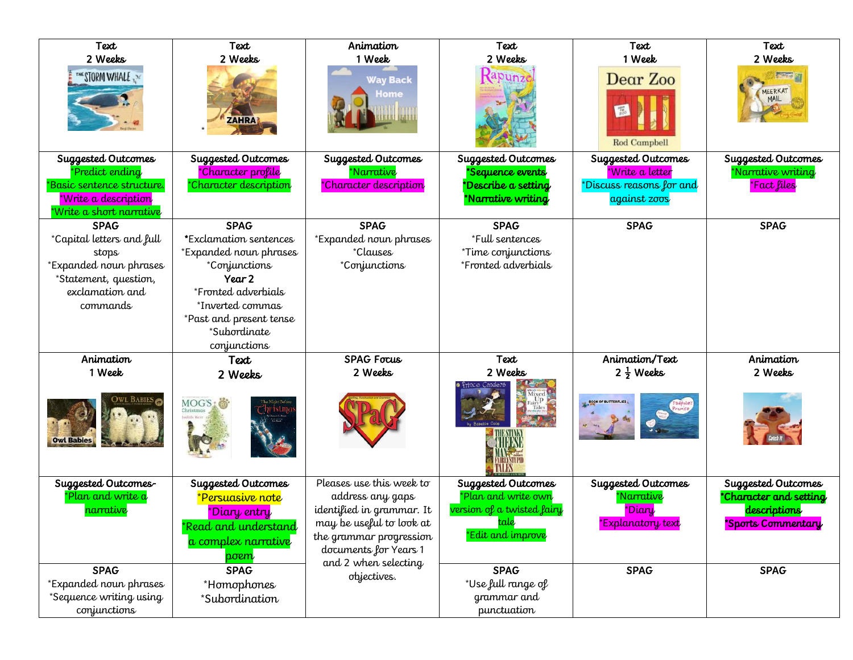| Text<br>2 Weeks<br>THE STORM WHALE<br>Suggested Outcomes<br>Predict ending                                                          | Text<br>2 Weeks<br><b>ZAHRA</b><br>Suggested Outcomes<br>*Character profile                                                                                                                      | Animation<br>1 Week<br><b>Way Back</b><br><b>Home</b><br>Suggested Outcomes<br>*Narrative                                                                 | Text<br>2 Weeks<br>Suggested Outcomes<br><b>Sequence events</b>                                      | Text<br>1 Week<br>Dear Zoo<br><b>Rod Campbell</b><br>Suggested Outcomes<br>*Write a letter | Text<br>2 Weeks<br>MEERKAT<br>MAIL<br>Suggested Outcomes<br>Narrative writing      |
|-------------------------------------------------------------------------------------------------------------------------------------|--------------------------------------------------------------------------------------------------------------------------------------------------------------------------------------------------|-----------------------------------------------------------------------------------------------------------------------------------------------------------|------------------------------------------------------------------------------------------------------|--------------------------------------------------------------------------------------------|------------------------------------------------------------------------------------|
| *Basic sentence structure.<br><u>*Write a description</u><br>Write a short narrative                                                | *Character description                                                                                                                                                                           | *Character description                                                                                                                                    | Describe a setting<br>*Narrative writing                                                             | *Discuss reasons for and<br>against zoos                                                   | *Fact files                                                                        |
| <b>SPAG</b><br>*Capital letters and full<br>stops<br>*Expanded noun phrases<br>*Statement, question,<br>exclamation and<br>commands | <b>SPAG</b><br>*Exclamation sentences<br>*Expanded noun phrases<br>*Conjunctions<br>Year 2<br>*Fronted adverbials<br>*Inverted commas<br>*Past and present tense<br>*Subordinate<br>conjunctions | <b>SPAG</b><br><b>Expanded noun phrases</b><br><i>*Clauses</i><br>*Conjunctions                                                                           | <b>SPAG</b><br>*Full sentences<br>*Time conjunctions<br>*Fronted adverbials                          | <b>SPAG</b>                                                                                | <b>SPAG</b>                                                                        |
| Animation<br>1 Week                                                                                                                 | Text                                                                                                                                                                                             | <b>SPAG Focus</b><br>2 Weeks                                                                                                                              | Text<br>2 Weeks                                                                                      | Animation/Text<br>$2\frac{1}{2}$ Weeks                                                     | Animation<br>2 Weeks                                                               |
| <b>Owl Babies</b>                                                                                                                   | 2 Weeks<br>MOG'S                                                                                                                                                                                 |                                                                                                                                                           |                                                                                                      | <b>BOOK OF BUTTERFLIES</b>                                                                 |                                                                                    |
| Suggested Outcomes-<br>*Plan and write a<br>narrative                                                                               | Suggested Outcomes<br><u>*Persuasive note</u><br>*Diary entry<br>*Read and understand<br>a complex narrative<br>poem                                                                             | Pleases use this week to<br>address any gaps<br>identified in grammar. It<br>may be useful to look at<br>the grammar progression<br>documents for Years 1 | Suggested Outcomes<br>*Plan and write own<br>version of a twisted fairy<br>tale<br>*Edit and improve | Suggested Outcomes<br>*Narrative<br>*Diary<br>*Explanatory text                            | Suggested Outcomes<br>*Character and setting<br>descriptions<br>*Sports Commentary |
| <b>SPAG</b><br>*Expanded noun phrases<br>*Sequence writing using<br>conjunctions                                                    | <b>SPAG</b><br>*Homophones<br>*Subordination                                                                                                                                                     | and 2 when selecting<br>objectives.                                                                                                                       | <b>SPAG</b><br>*Use full range of<br>grammar and<br>punctuation                                      | <b>SPAG</b>                                                                                | <b>SPAG</b>                                                                        |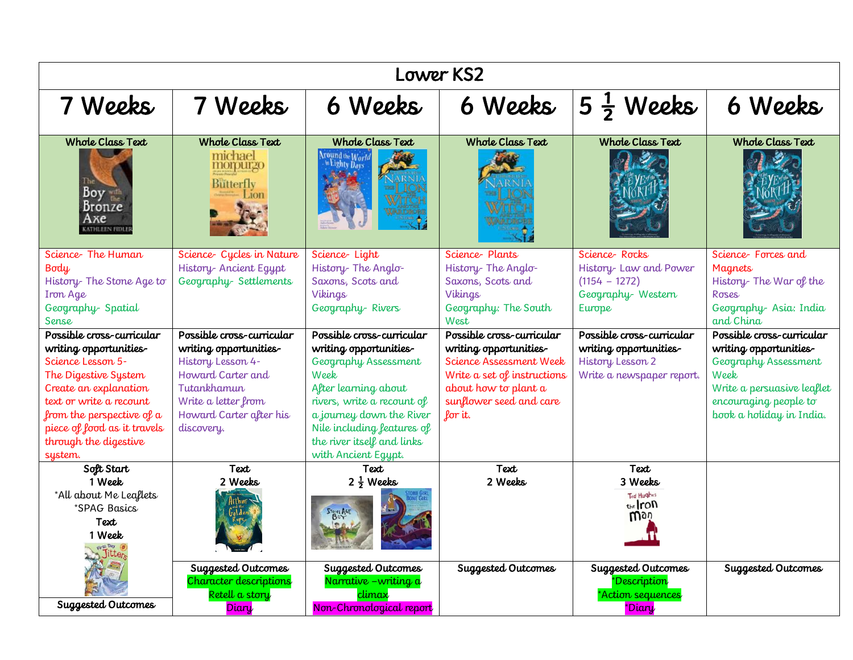| <b>Lower KS2</b>                                                                                                                                                                                                        |                                                                                                                                                 |                                                                                                                                                                                                                             |                                                                                                                                                |                                                                                          |                                                                                                                                           |  |
|-------------------------------------------------------------------------------------------------------------------------------------------------------------------------------------------------------------------------|-------------------------------------------------------------------------------------------------------------------------------------------------|-----------------------------------------------------------------------------------------------------------------------------------------------------------------------------------------------------------------------------|------------------------------------------------------------------------------------------------------------------------------------------------|------------------------------------------------------------------------------------------|-------------------------------------------------------------------------------------------------------------------------------------------|--|
| 7 Weeks                                                                                                                                                                                                                 | 7 Weeks                                                                                                                                         | 6 Weeks                                                                                                                                                                                                                     | 6 Weeks                                                                                                                                        | $5\frac{1}{2}$ Weeks                                                                     | 6 Weeks                                                                                                                                   |  |
| <b>Whole Class Text</b><br>Boy the<br>Bronze<br>Ахе<br><b>KATHLEEN FIDLE</b>                                                                                                                                            | <b>Whole Class Text</b><br>michael<br>morpurgo<br><b>Butterfly</b><br>Jon                                                                       | <b>Whole Class Text</b><br>Around the World<br>in Lighty Days                                                                                                                                                               | <b>Whole Class Text</b>                                                                                                                        | <b>Whole Class Text</b>                                                                  | <b>Whole Class Text</b>                                                                                                                   |  |
| Science-The Human<br>Body<br>History- The Stone Age to<br>Iron Age<br>Geography-Spatial<br><b>Sense</b>                                                                                                                 | Science- Cycles in Nature<br>History- Ancient Egypt<br>Geography-Settlements                                                                    | Science-Light<br>History-The Anglo-<br>Saxons, Scots and<br>Vikings<br>Geography-Rivers                                                                                                                                     | Science-Plants<br>History-The Anglo-<br>Saxons, Scots and<br>Vikings<br>Geography: The South<br>West                                           | Science Rocks<br>History-Law and Power<br>$(1154 - 1272)$<br>Geography-Western<br>Europe | Science-Forces and<br><b>Magnets</b><br>History-The War of the<br>Roses<br>Geography-Asia: India<br>and China                             |  |
| Possible cross-curricular                                                                                                                                                                                               | Possible cross-curricular                                                                                                                       | Possible cross-curricular                                                                                                                                                                                                   | Possible cross-curricular                                                                                                                      | Possible cross-curricular                                                                | Possible cross-curricular                                                                                                                 |  |
| writing opportunities-<br>Science Lesson 5-<br>The Digestive System<br>Create an explanation<br>text or write a recount<br>from the perspective of a<br>piece of food as it travels<br>through the digestive<br>system. | writing opportunities-<br>History Lesson 4-<br>Howard Carter and<br>Tutankhamun<br>Write a letter from<br>Howard Carter after his<br>discovery. | writing opportunities-<br>Geography Assessment<br>Week<br>After learning about<br>rivers, write a recount of<br>a journey down the River<br>Nile including features of<br>the river itself and links<br>with Ancient Egypt. | writing opportunities-<br>Science Assessment Week<br>Write a set of instructions<br>about how to plant a<br>sunflower seed and care<br>for it. | writing opportunities-<br>History Lesson 2<br>Write a newspaper report.                  | writing opportunities-<br>Geography Assessment<br>Week<br>Write a persuasive leaflet<br>encouraging people to<br>book a holiday in India. |  |
| Soft Start                                                                                                                                                                                                              | Text                                                                                                                                            | Text                                                                                                                                                                                                                        | Text                                                                                                                                           | Text                                                                                     |                                                                                                                                           |  |
| 1 Week<br>*All about Me Leaflets<br>*SPAG Basics<br>Text<br>1 Week<br>Jitter                                                                                                                                            | 2 Weeks<br>Arthur                                                                                                                               | $2\frac{1}{2}$ Weeks<br><b>STONE AGE</b>                                                                                                                                                                                    | 2 Weeks                                                                                                                                        | 3 Weeks<br><b>Ted Hughes</b><br>the <i>Iron</i><br>Woù                                   |                                                                                                                                           |  |
| Suggested Outcomes                                                                                                                                                                                                      | Suggested Outcomes<br>Character descriptions<br>Retell a story<br>Diary                                                                         | Suggested Outcomes<br>Narrative - writing a<br>climax<br>Non-Chronological report                                                                                                                                           | Suggested Outcomes                                                                                                                             | Suggested Outcomes<br>*Description<br>*Action sequences<br>*Diary                        | Suggested Outcomes                                                                                                                        |  |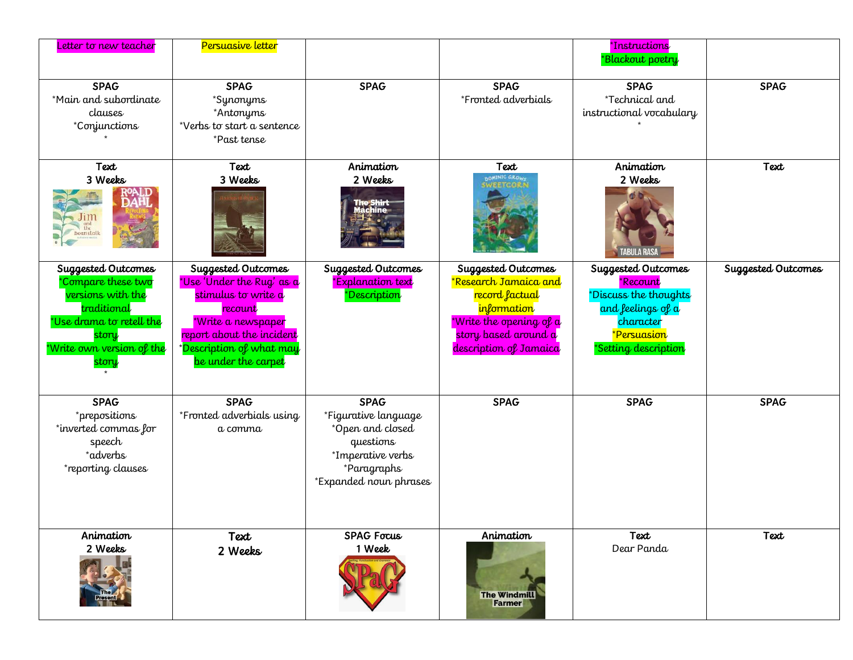| Letter to new teacher                                                                                                                                   | Persuasive letter                                                                                                                                                                                     |                                                                                                                                    |                                                                                                                                                           | *Instructions<br>*Blackout poetry                                                                                                             |                    |
|---------------------------------------------------------------------------------------------------------------------------------------------------------|-------------------------------------------------------------------------------------------------------------------------------------------------------------------------------------------------------|------------------------------------------------------------------------------------------------------------------------------------|-----------------------------------------------------------------------------------------------------------------------------------------------------------|-----------------------------------------------------------------------------------------------------------------------------------------------|--------------------|
| <b>SPAG</b><br>*Main and subordinate<br>clauses<br>*Conjunctions                                                                                        | <b>SPAG</b><br>*Synonyms<br>*Antonyms<br>*Verbs to start a sentence<br>*Past tense                                                                                                                    | <b>SPAG</b>                                                                                                                        | <b>SPAG</b><br>*Fronted adverbials                                                                                                                        | <b>SPAG</b><br>*Technical and<br>instructional vocabulary                                                                                     | <b>SPAG</b>        |
| Text<br>3 Weeks<br>eanstal                                                                                                                              | Text<br>3 Weeks                                                                                                                                                                                       | Animation<br>2 Weeks<br><b>The Shirt</b>                                                                                           | Text<br>DOMINIC GROWS<br><b>SWEETCORN</b>                                                                                                                 | Animation<br>2 Weeks<br>ABULA RASJ                                                                                                            | Text               |
| Suggested Outcomes<br>*Compare these two<br>versions with the<br>traditional<br>*Use drama to retell the<br>story<br>*Write own version of the<br>story | Suggested Outcomes<br>*Use 'Under the Rug' as a<br>stimulus to write a<br>recount<br>*Write a newspaper<br>report about the incident<br>* <mark>Description of what may</mark><br>be under the carpet | Suggested Outcomes<br>*Explanation text<br>*Description                                                                            | Suggested Outcomes<br>*Research Jamaica and<br>record factual<br>information<br>*Write the opening of a<br>story based around a<br>description of Jamaica | Suggested Outcomes<br>*Recount<br>*Discuss the thoughts<br>and feelings of a<br>character<br><mark>*Persuasion</mark><br>*Setting description | Suggested Outcomes |
| <b>SPAG</b><br>*prepositions<br>*inverted commas for<br>speech<br>*adverbs<br>*reporting clauses                                                        | <b>SPAG</b><br>*Fronted adverbials using<br>a comma                                                                                                                                                   | <b>SPAG</b><br>*Figurative language<br>*Open and closed<br>questions<br>*Imperative verbs<br>*Paragraphs<br>*Expanded noun phrases | <b>SPAG</b>                                                                                                                                               | <b>SPAG</b>                                                                                                                                   | <b>SPAG</b>        |
| Animation<br>2 Weeks                                                                                                                                    | Text<br>2 Weeks                                                                                                                                                                                       | <b>SPAG Focus</b><br>1 Week                                                                                                        | Animation<br><b>The Windmill</b><br><b>Farmer</b>                                                                                                         | Text<br>Dear Panda                                                                                                                            | Text               |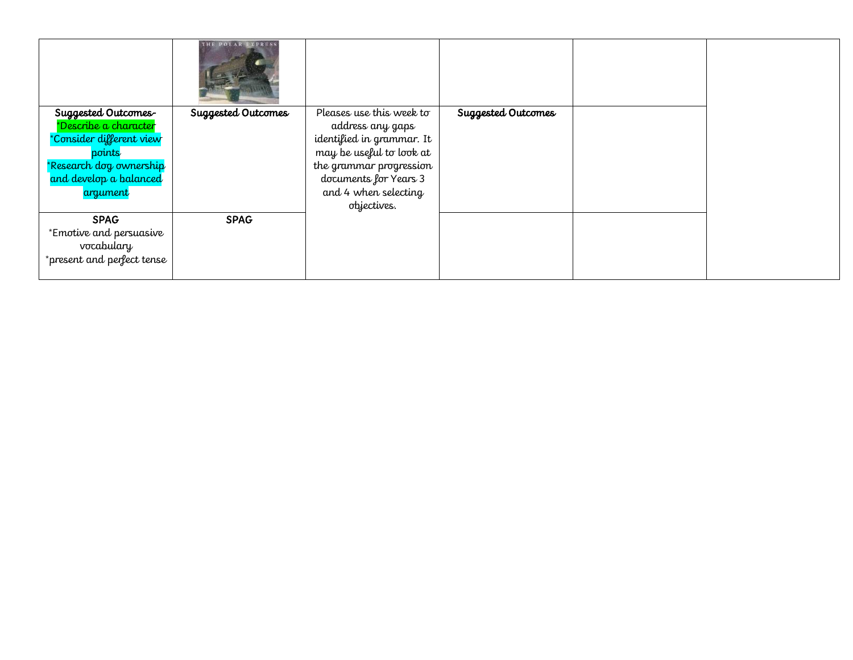|                            | THE POLAR EXPRESS  |                           |                    |  |
|----------------------------|--------------------|---------------------------|--------------------|--|
| Suggested Outcomes-        | Suggested Outcomes | Pleases use this week to  | Suggested Outcomes |  |
| *Describe a character      |                    | address any gaps          |                    |  |
| *Consider different view   |                    | identified in grammar. It |                    |  |
| points                     |                    | may be useful to look at  |                    |  |
| *Research dog ownership    |                    | the grammar progression   |                    |  |
| and develop a balanced     |                    | documents for Years 3     |                    |  |
| argument                   |                    | and 4 when selecting      |                    |  |
|                            |                    | objectives.               |                    |  |
| <b>SPAG</b>                | <b>SPAG</b>        |                           |                    |  |
| *Emotive and persuasive    |                    |                           |                    |  |
| vocabulary                 |                    |                           |                    |  |
| *present and perfect tense |                    |                           |                    |  |
|                            |                    |                           |                    |  |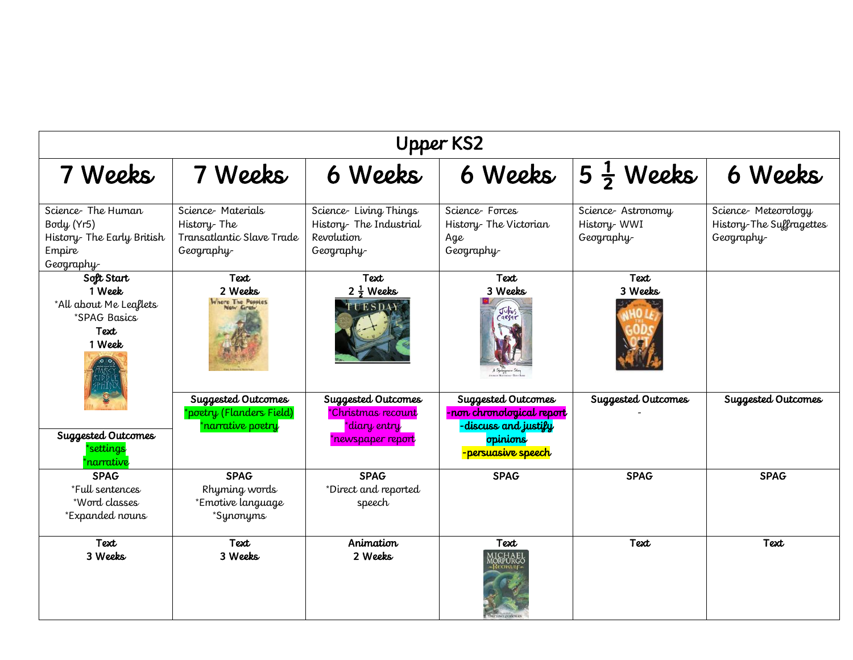| <b>Upper KS2</b>                                                                      |                                                                             |                                                                               |                                                                                                           |                                                |                                                               |
|---------------------------------------------------------------------------------------|-----------------------------------------------------------------------------|-------------------------------------------------------------------------------|-----------------------------------------------------------------------------------------------------------|------------------------------------------------|---------------------------------------------------------------|
| 7 Weeks                                                                               | 7 Weeks                                                                     | 6 Weeks                                                                       | 6 Weeks                                                                                                   | $5\frac{1}{2}$ Weeks                           | 6 Weeks                                                       |
| Science-The Human<br>Body (Yr5)<br>History- The Early British<br>Empire<br>Geography- | Science Materials<br>History-The<br>Transatlantic Slave Trade<br>Geography- | Science-Living Things<br>History-The Industrial<br>Revolution<br>Geography-   | Science-Forces<br>History- The Victorian<br>Age<br>Geography-                                             | Science-Astronomy<br>History-WWI<br>Geography- | Science-Meteorology<br>History-The Suffragettes<br>Geography- |
| Soft Start<br>1 Week<br>*All about Me Leaflets<br>*SPAG Basics<br>Text<br>1 Week      | Text<br>2 Weeks<br>Where The Poppies<br><b>Volv Grah</b>                    | Text<br>$2\frac{1}{2}$ Weeks<br>TUESDAY                                       | Text<br>3 Weeks<br>Julius<br>aesar                                                                        | Text<br>3 Weeks                                |                                                               |
| Suggested Outcomes<br><i>settings</i><br>narrative                                    | Suggested Outcomes<br>'poetry (Flanders Field)<br>*narrative poetry         | Suggested Outcomes<br>*Christmas recount<br>*diary entry<br>*newspaper report | Suggested Outcomes<br>- non chronological report<br>discuss and justify<br>opinions<br>-persuasive speech | Suggested Outcomes                             | Suggested Outcomes                                            |
| <b>SPAG</b><br>*Full sentences<br>*Word classes<br>*Expanded nouns                    | <b>SPAG</b><br>Rhyming words<br>*Emotive language<br>*Synonyms              | <b>SPAG</b><br>*Direct and reported<br>speech                                 | <b>SPAG</b>                                                                                               | <b>SPAG</b>                                    | <b>SPAG</b>                                                   |
| Text<br>3 Weeks                                                                       | Text<br>3 Weeks                                                             | Animation<br>2 Weeks                                                          | Text<br>I CHAEL<br>DRPURGC                                                                                | Text                                           | Text                                                          |